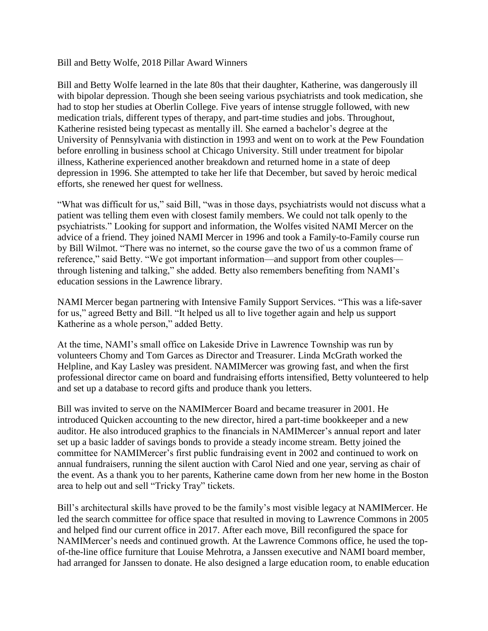## Bill and Betty Wolfe, 2018 Pillar Award Winners

Bill and Betty Wolfe learned in the late 80s that their daughter, Katherine, was dangerously ill with bipolar depression. Though she been seeing various psychiatrists and took medication, she had to stop her studies at Oberlin College. Five years of intense struggle followed, with new medication trials, different types of therapy, and part-time studies and jobs. Throughout, Katherine resisted being typecast as mentally ill. She earned a bachelor's degree at the University of Pennsylvania with distinction in 1993 and went on to work at the Pew Foundation before enrolling in business school at Chicago University. Still under treatment for bipolar illness, Katherine experienced another breakdown and returned home in a state of deep depression in 1996. She attempted to take her life that December, but saved by heroic medical efforts, she renewed her quest for wellness.

"What was difficult for us," said Bill, "was in those days, psychiatrists would not discuss what a patient was telling them even with closest family members. We could not talk openly to the psychiatrists." Looking for support and information, the Wolfes visited NAMI Mercer on the advice of a friend. They joined NAMI Mercer in 1996 and took a Family-to-Family course run by Bill Wilmot. "There was no internet, so the course gave the two of us a common frame of reference," said Betty. "We got important information––and support from other couples through listening and talking," she added. Betty also remembers benefiting from NAMI's education sessions in the Lawrence library.

NAMI Mercer began partnering with Intensive Family Support Services. "This was a life-saver for us," agreed Betty and Bill. "It helped us all to live together again and help us support Katherine as a whole person," added Betty.

At the time, NAMI's small office on Lakeside Drive in Lawrence Township was run by volunteers Chomy and Tom Garces as Director and Treasurer. Linda McGrath worked the Helpline, and Kay Lasley was president. NAMIMercer was growing fast, and when the first professional director came on board and fundraising efforts intensified, Betty volunteered to help and set up a database to record gifts and produce thank you letters.

Bill was invited to serve on the NAMIMercer Board and became treasurer in 2001. He introduced Quicken accounting to the new director, hired a part-time bookkeeper and a new auditor. He also introduced graphics to the financials in NAMIMercer's annual report and later set up a basic ladder of savings bonds to provide a steady income stream. Betty joined the committee for NAMIMercer's first public fundraising event in 2002 and continued to work on annual fundraisers, running the silent auction with Carol Nied and one year, serving as chair of the event. As a thank you to her parents, Katherine came down from her new home in the Boston area to help out and sell "Tricky Tray" tickets.

Bill's architectural skills have proved to be the family's most visible legacy at NAMIMercer. He led the search committee for office space that resulted in moving to Lawrence Commons in 2005 and helped find our current office in 2017. After each move, Bill reconfigured the space for NAMIMercer's needs and continued growth. At the Lawrence Commons office, he used the topof-the-line office furniture that Louise Mehrotra, a Janssen executive and NAMI board member, had arranged for Janssen to donate. He also designed a large education room, to enable education